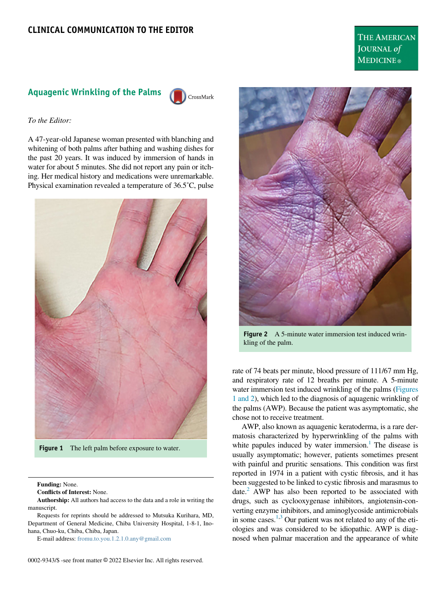THE AMERICAN JOURNAL of **MEDICINE**®

## Aquagenic Wrinkling of the Palms

CrossMark

## To the Editor:

A 47-year-old Japanese woman presented with blanching and whitening of both palms after bathing and washing dishes for the past 20 years. It was induced by immersion of hands in water for about 5 minutes. She did not report any pain or itching. Her medical history and medications were unremarkable. Physical examination revealed a temperature of 36.5˚C, pulse

<span id="page-0-0"></span>

Figure 1 The left palm before exposure to water.

Funding: None.

Conflicts of Interest: None.

Authorship: All authors had access to the data and a role in writing the manuscript.

Requests for reprints should be addressed to Mutsuka Kurihara, MD, Department of General Medicine, Chiba University Hospital, 1-8-1, Inohana, Chuo-ku, Chiba, Chiba, Japan.

E-mail address: [fromu.to.you.1.2.1.0.any@gmail.com](mailto:fromu.to.you.1.2.1.0.any@gmail.com)



Figure 2 A 5-minute water immersion test induced wrinkling of the palm.

rate of 74 beats per minute, blood pressure of 111/67 mm Hg, and respiratory rate of 12 breaths per minute. A 5-minute water immersion test induced wrinkling of the palms [\(Figures](#page-0-0) [1 and 2](#page-0-0)), which led to the diagnosis of aquagenic wrinkling of the palms (AWP). Because the patient was asymptomatic, she chose not to receive treatment.

AWP, also known as aquagenic keratoderma, is a rare dermatosis characterized by hyperwrinkling of the palms with white papules induced by water immersion.<sup>1</sup> The disease is usually asymptomatic; however, patients sometimes present with painful and pruritic sensations. This condition was first reported in 1974 in a patient with cystic fibrosis, and it has been suggested to be linked to cystic fibrosis and marasmus to date. $<sup>2</sup>$  AWP has also been reported to be associated with</sup> drugs, such as cyclooxygenase inhibitors, angiotensin-converting enzyme inhibitors, and aminoglycoside antimicrobials in some cases. $1,3$  $1,3$  Our patient was not related to any of the etiologies and was considered to be idiopathic. AWP is diagnosed when palmar maceration and the appearance of white